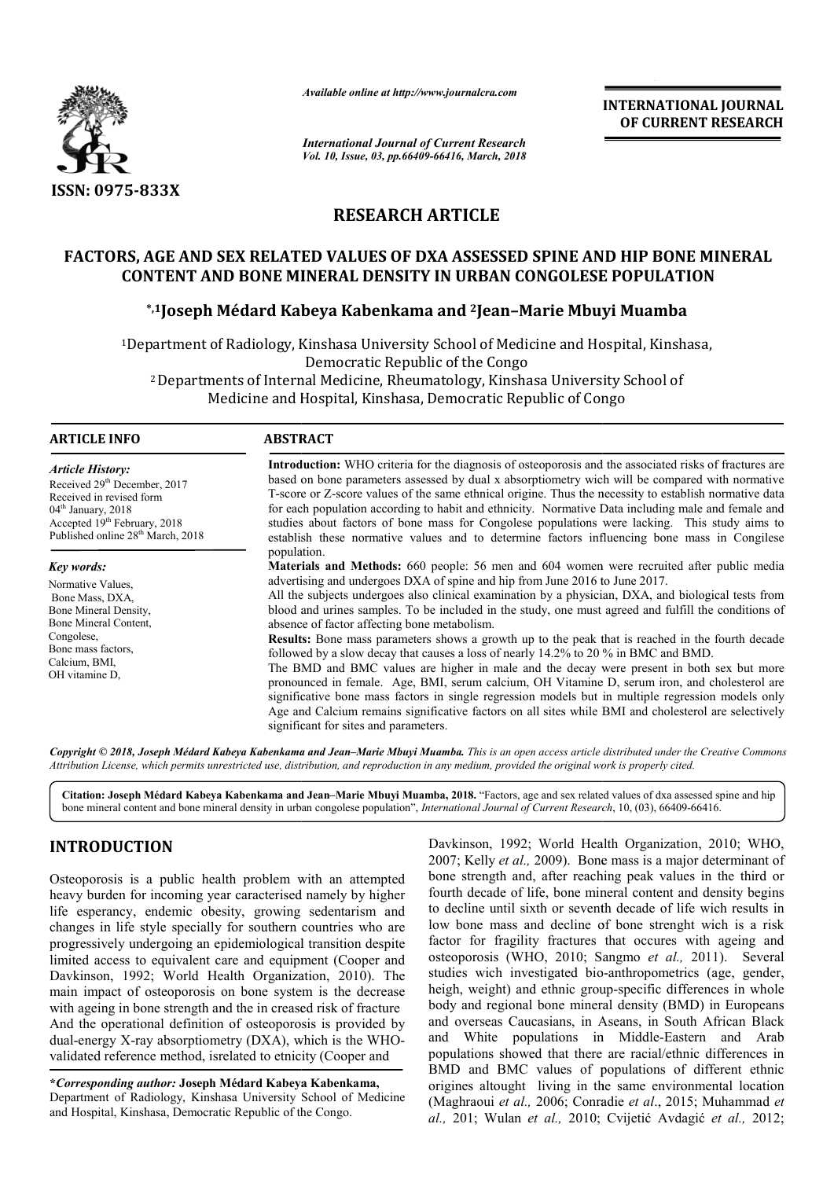

*Available online at http://www.journalcra.com*

*International Journal of Current Research Vol. 10, Issue, 03, pp.66409-66416, March, 2018*

**INTERNATIONAL JOURNAL OF CURRENT RESEARCH**

# **RESEARCH ARTICLE**

# FACTORS, AGE AND SEX RELATED VALUES OF DXA ASSESSED SPINE AND HIP BONE MINERAL<br>CONTENT AND BONE MINERAL DENSITY IN URBAN CONGOLESE POPULATION<br><sup>5,1</sup>Joseph Médard Kabeya Kabenkama and <sup>2</sup>Jean-Marie Mbuyi Muamba\* **CONTENT AND BONE MINERAL DENSITY IN URBAN CONGOLESE POPULATION**

# **\*,1Joseph Médard Kabeya Kabenkama and Joseph 2Jean–Marie Mbuyi Muamba**

1Department of Radiology, Kinshasa University School of Medicine and Hospital, Kinshasa,<br>Democratic Republic of the Congo<br><sup>2</sup> Departments of Internal Medicine, Rheumatology, Kinshasa University School of 2 Departments of Internal Medicine, Rheumatology, Kinshasa University School of

Medicine and Hospital, Kinshasa, Democratic Republic of Congo

#### **ARTICLE INFO ABSTRACT** Introduction: WHO criteria for the diagnosis of osteoporosis and the associated risks of fractures are based on bone parameters assessed by dual x absorptiometry wich will be compared with normative T-score or Z-score valu based on bone parameters assessed by dual x absorptiometry wich will be compared with normative T-score or Z-score values of the same ethnical origine. Thus the necess for each population according to habit and ethnicity. Normative Data including male and female and studies about factors of bone mass for Congolese populations were lacking. This study aims to establish these normative values and to determine factors influencing bone mass in Congilese population. **Materials and Methods Methods:** 660 people: 56 men and 604 women were recruited after public media advertising and undergoes DXA of spine and hip from June 2016 to June 2017. All the subje subjects undergoes also clinical examination by a physician, DXA, and biological tests from for each population according to habit and ethnicity. Normative Data including male and female and studies about factors of bone mass for Congolese populations were lacking. This study aims to establish these normative val absence of factor affecting bone metabolism. **Results Results:** Bone mass parameters shows a growth up to the peak that is reached in the fourth decade followed by a slow decay that causes a loss of nearly 14.2% to 20 % in BMC and BMD. The BMD and BMC values are higher in male and the decay were present in both sex but more pronounced in female. Age, BMI, serum calcium, OH Vitamine D, serum iron, and cholesterol are significative bone mass factors in single regression models but in multiple regression models only Age and Calcium remains significative factors on all sites while BMI and cholesterol are selectively significant for sites and parameters. *Article History:* Received 29<sup>th</sup> December, 2017 Received in revised form  $04<sup>th</sup>$  January, 2018 Accepted 19<sup>th</sup> February, 2018 Published online 28<sup>th</sup> March, 2018 *Key words:* Normative Values, Bone Mass, DXA, Bone Mineral Density, Bone Mineral Content, Congolese, Bone mass factors, Calcium, BMI, OH vitamine D, **Results:** Bone mass parameters shows a growth up to the peak that is reached in the fourth decade followed by a slow decay that causes a loss of nearly 14.2% to 20 % in BMC and BMD. The BMD and BMC values are higher in ma

Copyright © 2018, Joseph Médard Kabeya Kabenkama and Jean–Marie Mbuyi Muamba. This is an open access article distributed under the Creative Commons Attribution License, which permits unrestricted use, distribution, and reproduction in any medium, provided the original work is properly cited.

Citation: Joseph Médard Kabeya Kabenkama and Jean–Marie Mbuyi Muamba, 2018. "Factors, age and sex related values of dxa assessed spine and hip bone mineral content and bone mineral density in urban congolese population", *International Journal of Current Research*, 10, (03), 66409-66416.

# **INTRODUCTION**

Osteoporosis is a public health problem with an attempted heavy burden for incoming year caracterised namely by higher life esperancy, endemic obesity, growing sedentarism and changes in life style specially for southern countries who are progressively undergoing an epidemiological transition despite progressively undergoing an epidemiological transition despite<br>limited access to equivalent care and equipment (Cooper and Davkinson, 1992; World Health Organization, 2010). The main impact of osteoporosis on bone system is the decrease with ageing in bone strength and the in creased risk of fracture And the operational definition of osteoporosis is provided by dual-energy X-ray absorptiometry (DXA), which is the WHOvalidated reference method, isrelated to etnicity (Cooper and

**\****Corresponding author:* **Joseph Médard Kabeya Kabenkama,** Department of Radiology, Kinshasa University School of Medicine and Hospital, Kinshasa, Democratic Republic of the Congo.

Davkinson, 1992; World Health Organization, 2010; WHO, 2007; Kelly *et al.,* 2009). Bone mass is a major determinant of Davkinson, 1992; World Health Organization, 2010; WHO, 2007; Kelly *et al.*, 2009). Bone mass is a major determinant of bone strength and, after reaching peak values in the third or fourth decade of life, bone mineral content and density begins to decline until sixth or seventh decade of life wich results in low bone mass and decline of bone strenght wich is a risk factor for fragility fractures that occures with ageing and factor for fragility fractures that occures with ageing and osteoporosis (WHO, 2010; Sangmo et al., 2011). Several studies wich investigated bio-anthropometrics (age, gender, heigh, weight) and ethnic group-specific differences in whole body and regional bone mineral density (BMD) in Europeans and overseas Caucasians, in Aseans, in South African Black and White populations in Middle-Eastern and Arab populations showed that there are racial/ethnic differences in BMD and BMC values of populations of different ethnic BMD and BMC values of populations of different ethnic origines altought living in the same environmental location (Maghraoui *et al.,* 2006; Conradie *et al*., 2015; Muhammad *et al.,* 201; Wulan *et al.,* 2010; Cvijetić Avdagić *et al.,* 2012;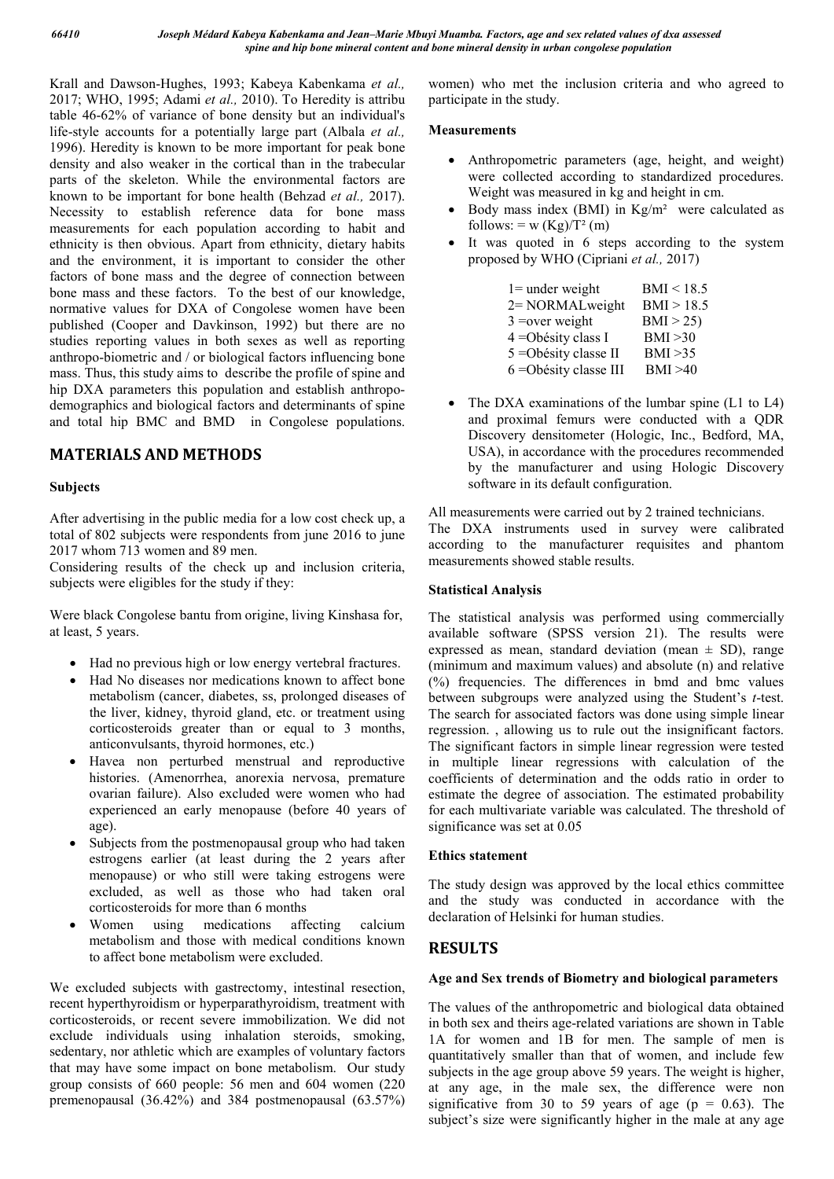Krall and Dawson-Hughes, 1993; Kabeya Kabenkama *et al.,* 2017; WHO, 1995; Adami *et al.,* 2010). To Heredity is attribu table 46-62% of variance of bone density but an individual's life-style accounts for a potentially large part (Albala *et al.,* 1996). Heredity is known to be more important for peak bone density and also weaker in the cortical than in the trabecular parts of the skeleton. While the environmental factors are known to be important for bone health (Behzad *et al.,* 2017). Necessity to establish reference data for bone mass measurements for each population according to habit and ethnicity is then obvious. Apart from ethnicity, dietary habits and the environment, it is important to consider the other factors of bone mass and the degree of connection between bone mass and these factors. To the best of our knowledge, normative values for DXA of Congolese women have been published (Cooper and Davkinson, 1992) but there are no studies reporting values in both sexes as well as reporting anthropo-biometric and / or biological factors influencing bone mass. Thus, this study aims to describe the profile of spine and hip DXA parameters this population and establish anthropodemographics and biological factors and determinants of spine and total hip BMC and BMD in Congolese populations.

# **MATERIALS AND METHODS**

# **Subjects**

After advertising in the public media for a low cost check up, a total of 802 subjects were respondents from june 2016 to june 2017 whom 713 women and 89 men.

Considering results of the check up and inclusion criteria, subjects were eligibles for the study if they:

Were black Congolese bantu from origine, living Kinshasa for, at least, 5 years.

- Had no previous high or low energy vertebral fractures.
- Had No diseases nor medications known to affect bone metabolism (cancer, diabetes, ss, prolonged diseases of the liver, kidney, thyroid gland, etc. or treatment using corticosteroids greater than or equal to 3 months, anticonvulsants, thyroid hormones, etc.)
- Havea non perturbed menstrual and reproductive histories. (Amenorrhea, anorexia nervosa, premature ovarian failure). Also excluded were women who had experienced an early menopause (before 40 years of age).
- Subjects from the postmenopausal group who had taken estrogens earlier (at least during the 2 years after menopause) or who still were taking estrogens were excluded, as well as those who had taken oral corticosteroids for more than 6 months
- Women using medications affecting calcium metabolism and those with medical conditions known to affect bone metabolism were excluded.

We excluded subjects with gastrectomy, intestinal resection, recent hyperthyroidism or hyperparathyroidism, treatment with corticosteroids, or recent severe immobilization. We did not exclude individuals using inhalation steroids, smoking, sedentary, nor athletic which are examples of voluntary factors that may have some impact on bone metabolism. Our study group consists of 660 people: 56 men and 604 women (220 premenopausal (36.42%) and 384 postmenopausal (63.57%)

women) who met the inclusion criteria and who agreed to participate in the study.

# **Measurements**

- Anthropometric parameters (age, height, and weight) were collected according to standardized procedures. Weight was measured in kg and height in cm.
- $\bullet$  Body mass index (BMI) in Kg/m<sup>2</sup> were calculated as follows: = w  $(Kg)/T^2$  (m)
- It was quoted in 6 steps according to the system proposed by WHO (Cipriani *et al.,* 2017)

| $1 =$ under weight     | BMI < 18.5 |
|------------------------|------------|
| 2= NORMALweight        | BMI > 18.5 |
| $3 = over weight$      | BMI > 25   |
| $4 =$ Obésity class I  | BMI > 30   |
| 5 = Obésity classe II  | BMI > 35   |
| 6 = Obésity classe III | BMI > 40   |

 The DXA examinations of the lumbar spine (L1 to L4) and proximal femurs were conducted with a QDR Discovery densitometer (Hologic, Inc., Bedford, MA, USA), in accordance with the procedures recommended by the manufacturer and using Hologic Discovery software in its default configuration.

All measurements were carried out by 2 trained technicians. The DXA instruments used in survey were calibrated according to the manufacturer requisites and phantom measurements showed stable results.

## **Statistical Analysis**

The statistical analysis was performed using commercially available software (SPSS version 21). The results were expressed as mean, standard deviation (mean  $\pm$  SD), range (minimum and maximum values) and absolute (n) and relative (%) frequencies. The differences in bmd and bmc values between subgroups were analyzed using the Student's *t*-test. The search for associated factors was done using simple linear regression. , allowing us to rule out the insignificant factors. The significant factors in simple linear regression were tested in multiple linear regressions with calculation of the coefficients of determination and the odds ratio in order to estimate the degree of association. The estimated probability for each multivariate variable was calculated. The threshold of significance was set at 0.05

# **Ethics statement**

The study design was approved by the local ethics committee and the study was conducted in accordance with the declaration of Helsinki for human studies.

# **RESULTS**

# **Age and Sex trends of Biometry and biological parameters**

The values of the anthropometric and biological data obtained in both sex and theirs age-related variations are shown in Table 1A for women and 1B for men. The sample of men is quantitatively smaller than that of women, and include few subjects in the age group above 59 years. The weight is higher, at any age, in the male sex, the difference were non significative from 30 to 59 years of age ( $p = 0.63$ ). The subject's size were significantly higher in the male at any age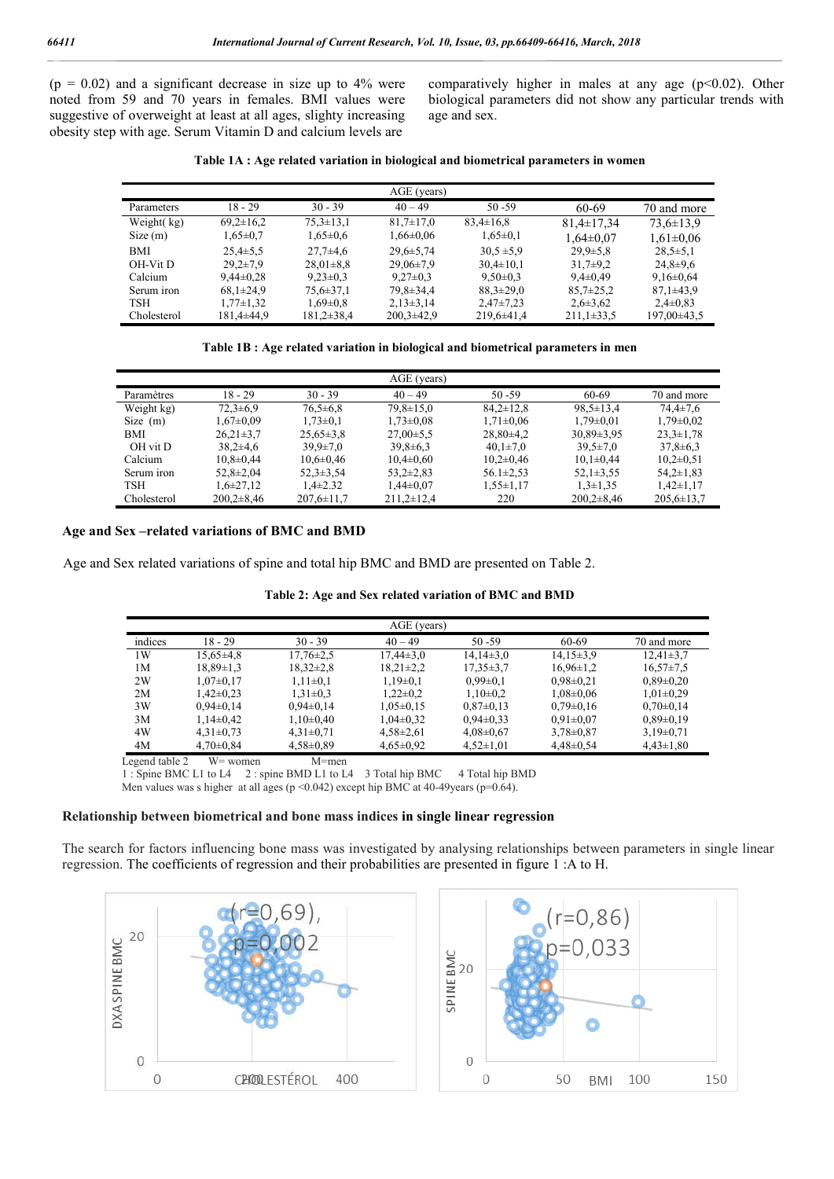$(p = 0.02)$  and a significant decrease in size up to 4% were noted from 59 and 70 years in females. BMI values were suggestive of overweight at least at all ages, slighty increasing obesity step with age. Serum Vitamin D and calcium levels are

comparatively higher in males at any age  $(p<0.02)$ . Other biological parameters did not show any particular trends with age and sex.

| Table 1A : Age related variation in biological and biometrical parameters in women |  |  |
|------------------------------------------------------------------------------------|--|--|
|                                                                                    |  |  |

| AGE (years) |                 |                 |                  |                  |                  |                 |  |  |
|-------------|-----------------|-----------------|------------------|------------------|------------------|-----------------|--|--|
| Parameters  | 18 - 29         | $30 - 39$       | $40 - 49$        | $50 - 59$        | 60-69            | 70 and more     |  |  |
| Weight(kg)  | $69,2\pm 16,2$  | $75.3 \pm 13.1$ | $81,7\pm17,0$    | $83,4\pm 16,8$   | $81.4 \pm 17.34$ | $73.6 \pm 13.9$ |  |  |
| Size(m)     | $1,65\pm0.7$    | $1,65 \pm 0.6$  | $1,66 \pm 0.06$  | $1,65\pm0.1$     | $1.64 \pm 0.07$  | $1,61\pm0,06$   |  |  |
| <b>BMI</b>  | $25,4\pm 5,5$   | $27.7\pm4.6$    | $29,6 \pm 5,74$  | $30.5 \pm 5.9$   | $29.9 \pm 5.8$   | $28,5+5,1$      |  |  |
| OH-Vit D    | $29.2 \pm 7.9$  | $28.01 \pm 8.8$ | $29,06\pm7,9$    | $30,4\pm 10,1$   | $31.7+9.2$       | $24,8+9,6$      |  |  |
| Calcium     | $9.44 \pm 0.28$ | $9,23\pm0.3$    | $9,27\pm0.3$     | $9,50\pm0.3$     | $9.4 \pm 0.49$   | $9,16\pm0.64$   |  |  |
| Serum iron  | $68,1\pm 24,9$  | $75.6 \pm 37.1$ | 79,8±34,4        | $88,3 \pm 29,0$  | $85.7 \pm 25.2$  | $87,1\pm 43.9$  |  |  |
| <b>TSH</b>  | $1,77\pm1,32$   | $1,69\pm0.8$    | $2,13\pm3,14$    | $2,47\pm7,23$    | $2,6+3,62$       | $2,4\pm0.83$    |  |  |
| Cholesterol | 181,4±44,9      | $181,2\pm 38,4$ | $200.3 \pm 42.9$ | $219.6 \pm 41.4$ | $211,1\pm 33,5$  | 197.00±43.5     |  |  |

#### **Table 1B : Age related variation in biological and biometrical parameters in men**

|             |                 |                  | AGE (years)      |                 |                  |                  |
|-------------|-----------------|------------------|------------------|-----------------|------------------|------------------|
| Paramètres  | $18 - 29$       | $30 - 39$        | $40 - 49$        | $50 - 59$       | 60-69            | 70 and more      |
| Weight kg)  | $72.3 \pm 6.9$  | $76.5 \pm 6.8$   | $79.8 \pm 15.0$  | $84.2 \pm 12.8$ | $98.5 \pm 13.4$  | $74.4 \pm 7.6$   |
| Size(m)     | $1.67 \pm 0.09$ | $1,73\pm0,1$     | $1,73\pm0.08$    | $1,71\pm0.06$   | $1.79 \pm 0.01$  | $1.79 \pm 0.02$  |
| BMI         | $26,21\pm3,7$   | $25,65\pm3,8$    | $27,00\pm5.5$    | $28,80\pm4,2$   | $30.89 \pm 3.95$ | $23.3 \pm 1.78$  |
| OH vit D    | $38.2 \pm 4.6$  | $39.9 \pm 7.0$   | $39,8+6,3$       | $40,1{\pm}7,0$  | $39.5 \pm 7.0$   | $37,8 \pm 6,3$   |
| Calcium     | $10,8 \pm 0,44$ | $10,6 \pm 0,46$  | $10,4\pm0,60$    | $10,2\pm0,46$   | $10,1\pm0.44$    | $10,2\pm 0.51$   |
| Serum iron  | $52,8 \pm 2,04$ | $52.3 \pm 3.54$  | $53.2 \pm 2.83$  | $56.1 \pm 2.53$ | $52,1\pm3,55$    | $54.2 \pm 1.83$  |
| <b>TSH</b>  | $1,6\pm 27,12$  | $1.4 \pm 2.32$   | $1,44\pm0.07$    | $1,55\pm1,17$   | $1,3\pm 1,35$    | $1,42\pm1,17$    |
| Cholesterol | $200,2\pm8,46$  | $207,6 \pm 11,7$ | $211.2 \pm 12.4$ | 220             | $200,2\pm8,46$   | $205,6 \pm 13,7$ |

## **Age and Sex –related variations of BMC and BMD**

Age and Sex related variations of spine and total hip BMC and BMD are presented on Table 2.

| Table 2: Age and Sex related variation of BMC and BMD |
|-------------------------------------------------------|
|-------------------------------------------------------|

|                      |                                                                                                                                                                                                                                                                                                                                    |                  | AGE (years)     |                 |                 |                 |
|----------------------|------------------------------------------------------------------------------------------------------------------------------------------------------------------------------------------------------------------------------------------------------------------------------------------------------------------------------------|------------------|-----------------|-----------------|-----------------|-----------------|
| indices              | $18 - 29$                                                                                                                                                                                                                                                                                                                          | $30 - 39$        | $40 - 49$       | $50 - 59$       | 60-69           | 70 and more     |
| 1W                   | $15.65 \pm 4.8$                                                                                                                                                                                                                                                                                                                    | $17.76 \pm 2.5$  | $17.44\pm3.0$   | $14,14\pm3,0$   | $14.15 \pm 3.9$ | $12.41 \pm 3.7$ |
| 1М                   | $18.89 \pm 1.3$                                                                                                                                                                                                                                                                                                                    | $18,32\pm2,8$    | $18,21\pm2,2$   | $17.35 \pm 3.7$ | $16,96\pm1,2$   | $16,57\pm7,5$   |
| 2W                   | $1.07 \pm 0.17$                                                                                                                                                                                                                                                                                                                    | $1.11 \pm 0.1$   | $1.19 \pm 0.1$  | $0.99 \pm 0.1$  | $0.98 \pm 0.21$ | $0.89 \pm 0.20$ |
| 2M                   | $1.42 \pm 0.23$                                                                                                                                                                                                                                                                                                                    | $1,31\pm0.3$     | $1.22 \pm 0.2$  | $1,10\pm0.2$    | $1,08\pm0,06$   | $1,01\pm0.29$   |
| 3W                   | $0.94 \pm 0.14$                                                                                                                                                                                                                                                                                                                    | $0.94 \pm 0.14$  | $1.05 \pm 0.15$ | $0.87 \pm 0.13$ | $0.79 \pm 0.16$ | $0.70 \pm 0.14$ |
| 3M                   | $1,14\pm0,42$                                                                                                                                                                                                                                                                                                                      | $1,10\pm0,40$    | $1,04\pm0.32$   | $0.94 \pm 0.33$ | $0.91 \pm 0.07$ | $0.89 \pm 0.19$ |
| 4W                   | $4,31\pm0.73$                                                                                                                                                                                                                                                                                                                      | $4,31\pm0,71$    | $4,58\pm2,61$   | $4,08\pm0.67$   | $3,78 \pm 0.87$ | $3,19\pm0.71$   |
| 4M                   | $4,70\pm0.84$                                                                                                                                                                                                                                                                                                                      | $4,58\pm0.89$    | $4,65\pm0.92$   | $4,52\pm1,01$   | $4,48\pm0,54$   | $4,43\pm1,80$   |
| ∩ - ا-ا-ا- الـ---- T | $\mathbf{W}$ $\mathbf{L}$ $\mathbf{L}$ $\mathbf{L}$ $\mathbf{L}$ $\mathbf{L}$ $\mathbf{L}$ $\mathbf{L}$ $\mathbf{L}$ $\mathbf{L}$ $\mathbf{L}$ $\mathbf{L}$ $\mathbf{L}$ $\mathbf{L}$ $\mathbf{L}$ $\mathbf{L}$ $\mathbf{L}$ $\mathbf{L}$ $\mathbf{L}$ $\mathbf{L}$ $\mathbf{L}$ $\mathbf{L}$ $\mathbf{L}$ $\mathbf{L}$ $\mathbf{$ | $M$ <sub>1</sub> |                 |                 |                 |                 |

Legend table 2 W = women M = men

1 : Spine BMC L1 to L4 2 : spine BMD L1 to L4 3 Total hip BMC 4 Total hip BMD

Men values was s higher at all ages ( $p \le 0.042$ ) except hip BMC at 40-49years ( $p=0.64$ ).

#### **Relationship between biometrical and bone mass indices in single linear regression**

The search for factors influencing bone mass was investigated by analysing relationships between parameters in single linear regression. The coefficients of regression and their probabilities are presented in figure 1 :A to H.

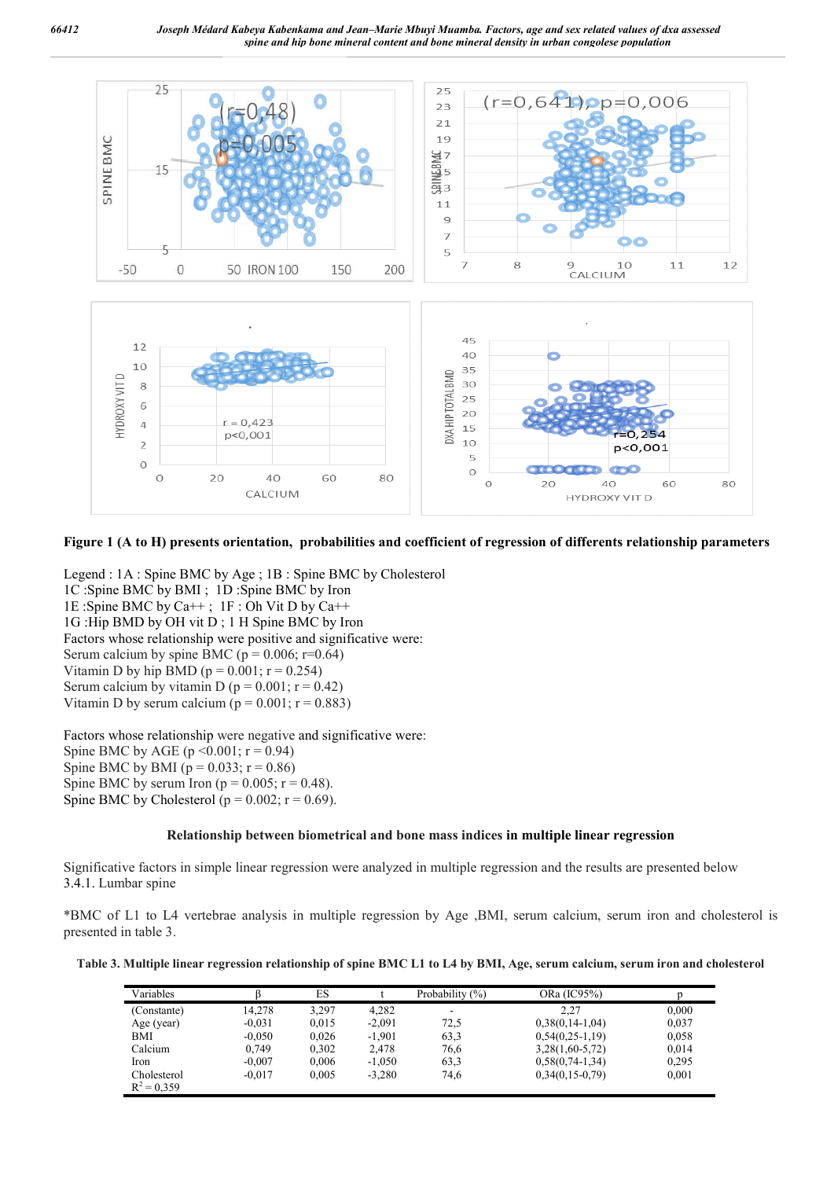

## **Figure 1 (A to H) presents orientation, probabilities and coefficient of regression of differents relationship parameters**

Legend : 1A : Spine BMC by Age ; 1B : Spine BMC by Cholesterol 1C :Spine BMC by BMI ; 1D :Spine BMC by Iron 1E :Spine BMC by Ca++ ; 1F : Oh Vit D by Ca++ 1G :Hip BMD by OH vit D ; 1 H Spine BMC by Iron Factors whose relationship were positive and significative were: Serum calcium by spine BMC ( $p = 0.006$ ;  $r=0.64$ ) Vitamin D by hip BMD ( $p = 0.001$ ;  $r = 0.254$ ) Serum calcium by vitamin D ( $p = 0.001$ ;  $r = 0.42$ ) Vitamin D by serum calcium ( $p = 0.001$ ;  $r = 0.883$ )

Factors whose relationship were negative and significative were: Spine BMC by AGE ( $p \le 0.001$ ;  $r = 0.94$ ) Spine BMC by BMI ( $p = 0.033$ ;  $r = 0.86$ ) Spine BMC by serum Iron ( $p = 0.005$ ;  $r = 0.48$ ). Spine BMC by Cholesterol ( $p = 0.002$ ;  $r = 0.69$ ).

#### **Relationship between biometrical and bone mass indices in multiple linear regression**

Significative factors in simple linear regression were analyzed in multiple regression and the results are presented below 3.4.1. Lumbar spine

\*BMC of L1 to L4 vertebrae analysis in multiple regression by Age ,BMI, serum calcium, serum iron and cholesterol is presented in table 3.

**Table 3. Multiple linear regression relationship of spine BMC L1 to L4 by BMI, Age, serum calcium, serum iron and cholesterol**

| Variables                    |          | ES    |          | Probability $(\%)$ | ORa (IC95%)       |       |
|------------------------------|----------|-------|----------|--------------------|-------------------|-------|
| (Constante)                  | 14.278   | 3.297 | 4.282    |                    | 2.27              | 0.000 |
| Age (year)                   | $-0.031$ | 0.015 | $-2.091$ | 72,5               | $0,38(0,14-1,04)$ | 0,037 |
| BMI                          | $-0.050$ | 0.026 | $-1.901$ | 63,3               | $0,54(0,25-1,19)$ | 0.058 |
| Calcium                      | 0.749    | 0,302 | 2,478    | 76,6               | $3,28(1,60-5,72)$ | 0,014 |
| Iron                         | $-0.007$ | 0,006 | $-1.050$ | 63,3               | $0,58(0,74-1,34)$ | 0.295 |
| Cholesterol<br>$R^2 = 0.359$ | $-0.017$ | 0.005 | $-3.280$ | 74,6               | $0,34(0,15-0,79)$ | 0,001 |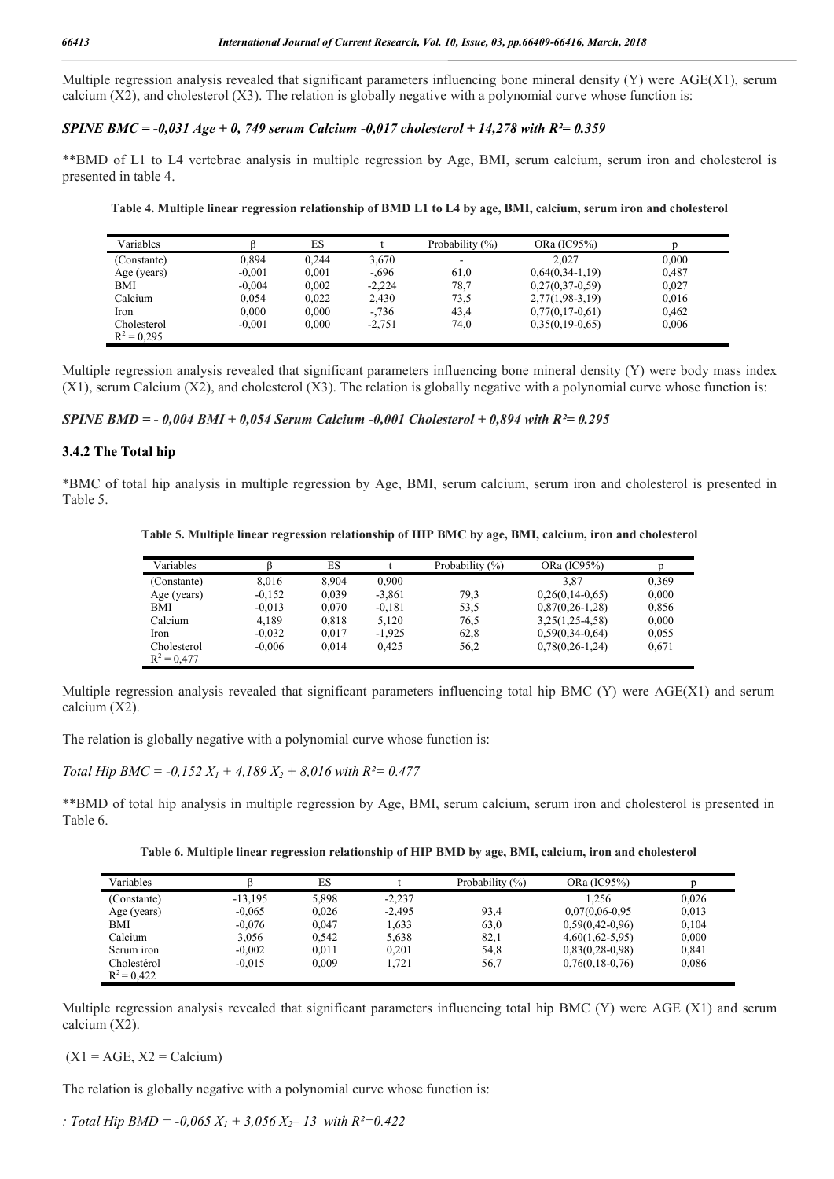Multiple regression analysis revealed that significant parameters influencing bone mineral density (Y) were AGE(X1), serum calcium  $(X2)$ , and cholesterol  $(X3)$ . The relation is globally negative with a polynomial curve whose function is:

# *SPINE BMC = -0,031 Age + 0, 749 serum Calcium -0,017 cholesterol + 14,278 with R²= 0.359*

\*\*BMD of L1 to L4 vertebrae analysis in multiple regression by Age, BMI, serum calcium, serum iron and cholesterol is presented in table 4.

**Table 4. Multiple linear regression relationship of BMD L1 to L4 by age, BMI, calcium, serum iron and cholesterol**

| Variables     |          | ES    |          | Probability $(\%)$       | ORa (IC95%)       |       |  |
|---------------|----------|-------|----------|--------------------------|-------------------|-------|--|
| (Constante)   | 0,894    | 0.244 | 3,670    | $\overline{\phantom{a}}$ | 2.027             | 0.000 |  |
| Age (years)   | $-0.001$ | 0.001 | $-.696$  | 61,0                     | $0,64(0,34-1,19)$ | 0.487 |  |
| BMI           | $-0.004$ | 0,002 | $-2,224$ | 78,7                     | $0,27(0,37-0,59)$ | 0.027 |  |
| Calcium       | 0.054    | 0.022 | 2,430    | 73.5                     | $2,77(1,98-3,19)$ | 0,016 |  |
| Iron          | 0.000    | 0.000 | $-0.736$ | 43.4                     | $0,77(0,17-0,61)$ | 0.462 |  |
| Cholesterol   | $-0.001$ | 0.000 | $-2,751$ | 74,0                     | $0,35(0,19-0,65)$ | 0,006 |  |
| $R^2 = 0.295$ |          |       |          |                          |                   |       |  |

Multiple regression analysis revealed that significant parameters influencing bone mineral density (Y) were body mass index  $(X1)$ , serum Calcium  $(X2)$ , and cholesterol  $(X3)$ . The relation is globally negative with a polynomial curve whose function is:

*SPINE BMD = - 0,004 BMI + 0,054 Serum Calcium -0,001 Cholesterol + 0,894 with R²= 0.295*

# **3.4.2 The Total hip**

\*BMC of total hip analysis in multiple regression by Age, BMI, serum calcium, serum iron and cholesterol is presented in Table 5.

**Table 5. Multiple linear regression relationship of HIP BMC by age, BMI, calcium, iron and cholesterol**

| Variables     |          | ES    |          | Probability (%) | ORa (IC95%)       |       |
|---------------|----------|-------|----------|-----------------|-------------------|-------|
| (Constante)   | 8,016    | 8,904 | 0.900    |                 | 3.87              | 0,369 |
| Age (years)   | $-0.152$ | 0,039 | $-3,861$ | 79.3            | $0,26(0,14-0.65)$ | 0,000 |
| BMI           | $-0.013$ | 0,070 | $-0.181$ | 53.5            | $0,87(0,26-1,28)$ | 0,856 |
| Calcium       | 4,189    | 0,818 | 5,120    | 76.5            | $3,25(1,25-4,58)$ | 0,000 |
| Iron          | $-0.032$ | 0.017 | $-1.925$ | 62,8            | $0,59(0,34-0,64)$ | 0,055 |
| Cholesterol   | $-0.006$ | 0.014 | 0.425    | 56,2            | $0,78(0,26-1,24)$ | 0.671 |
| $R^2 = 0.477$ |          |       |          |                 |                   |       |

Multiple regression analysis revealed that significant parameters influencing total hip BMC (Y) were AGE(X1) and serum calcium (X2).

The relation is globally negative with a polynomial curve whose function is:

*Total Hip BMC = -0,152*  $X_1$  *+ 4,189*  $X_2$  *+ 8,016 with R<sup>2</sup> = 0.477* 

\*\*BMD of total hip analysis in multiple regression by Age, BMI, serum calcium, serum iron and cholesterol is presented in Table 6.

**Table 6. Multiple linear regression relationship of HIP BMD by age, BMI, calcium, iron and cholesterol**

| Variables                    |           | ES    |          | Probability (%) | ORa (IC95%)         |       |
|------------------------------|-----------|-------|----------|-----------------|---------------------|-------|
| (Constante)                  | $-13.195$ | 5,898 | $-2,237$ |                 | 1.256               | 0.026 |
| Age (years)                  | $-0.065$  | 0.026 | $-2.495$ | 93,4            | $0.07(0.06 - 0.95)$ | 0.013 |
| BMI                          | $-0.076$  | 0.047 | 1.633    | 63,0            | $0.59(0.42 - 0.96)$ | 0.104 |
| Calcium                      | 3.056     | 0.542 | 5,638    | 82,1            | $4,60(1,62-5,95)$   | 0.000 |
| Serum iron                   | $-0.002$  | 0.011 | 0.201    | 54,8            | $0.83(0.28-0.98)$   | 0.841 |
| Cholestérol<br>$R^2 = 0.422$ | $-0.015$  | 0.009 | .721     | 56.7            | $0,76(0,18-0,76)$   | 0,086 |

Multiple regression analysis revealed that significant parameters influencing total hip BMC (Y) were AGE (X1) and serum calcium (X2).

 $(X1 = AGE, X2 = \text{Calcium})$ 

The relation is globally negative with a polynomial curve whose function is:

*: Total Hip BMD* =  $-0.065 X_1 + 3.056 X_2 - 13$  with  $R^2 = 0.422$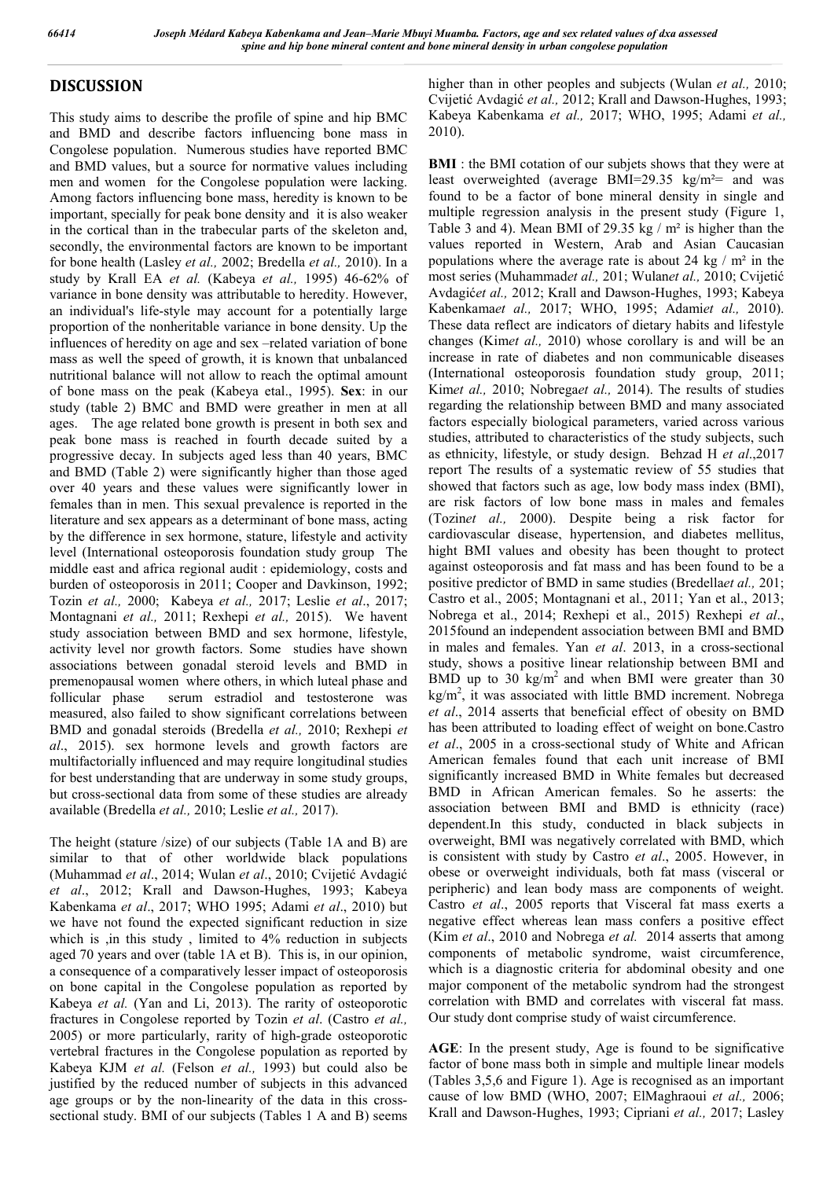# **DISCUSSION**

This study aims to describe the profile of spine and hip BMC and BMD and describe factors influencing bone mass in Congolese population. Numerous studies have reported BMC and BMD values, but a source for normative values including men and women for the Congolese population were lacking. Among factors influencing bone mass, heredity is known to be important, specially for peak bone density and it is also weaker in the cortical than in the trabecular parts of the skeleton and, secondly, the environmental factors are known to be important for bone health (Lasley *et al.,* 2002; Bredella *et al.,* 2010). In a study by Krall EA *et al.* (Kabeya *et al.,* 1995) 46-62% of variance in bone density was attributable to heredity. However, an individual's life-style may account for a potentially large proportion of the nonheritable variance in bone density. Up the influences of heredity on age and sex –related variation of bone mass as well the speed of growth, it is known that unbalanced nutritional balance will not allow to reach the optimal amount of bone mass on the peak (Kabeya etal., 1995). **Sex**: in our study (table 2) BMC and BMD were greather in men at all ages. The age related bone growth is present in both sex and peak bone mass is reached in fourth decade suited by a progressive decay. In subjects aged less than 40 years, BMC and BMD (Table 2) were significantly higher than those aged over 40 years and these values were significantly lower in females than in men. This sexual prevalence is reported in the literature and sex appears as a determinant of bone mass, acting by the difference in sex hormone, stature, lifestyle and activity level (International osteoporosis foundation study group The middle east and africa regional audit : epidemiology, costs and burden of osteoporosis in 2011; Cooper and Davkinson, 1992; Tozin *et al.,* 2000; Kabeya *et al.,* 2017; Leslie *et al*., 2017; Montagnani *et al.,* 2011; Rexhepi *et al.,* 2015). We havent study association between BMD and sex hormone, lifestyle, activity level nor growth factors. Some studies have shown associations between gonadal steroid levels and BMD in premenopausal women where others, in which luteal phase and follicular phase serum estradiol and testosterone was measured, also failed to show significant correlations between BMD and gonadal steroids (Bredella *et al.,* 2010; Rexhepi *et al*., 2015). sex hormone levels and growth factors are multifactorially influenced and may require longitudinal studies for best understanding that are underway in some study groups, but cross-sectional data from some of these studies are already available (Bredella *et al.,* 2010; Leslie *et al.,* 2017).

The height (stature /size) of our subjects (Table 1A and B) are similar to that of other worldwide black populations (Muhammad *et al*., 2014; Wulan *et al*., 2010; Cvijetić Avdagić *et al*., 2012; Krall and Dawson-Hughes, 1993; Kabeya Kabenkama *et al*., 2017; WHO 1995; Adami *et al*., 2010) but we have not found the expected significant reduction in size which is , in this study, limited to 4% reduction in subjects aged 70 years and over (table 1A et B). This is, in our opinion, a consequence of a comparatively lesser impact of osteoporosis on bone capital in the Congolese population as reported by Kabeya *et al.* (Yan and Li, 2013). The rarity of osteoporotic fractures in Congolese reported by Tozin *et al*. (Castro *et al.,* 2005) or more particularly, rarity of high-grade osteoporotic vertebral fractures in the Congolese population as reported by Kabeya KJM *et al.* (Felson *et al.,* 1993) but could also be justified by the reduced number of subjects in this advanced age groups or by the non-linearity of the data in this crosssectional study. BMI of our subjects (Tables 1 A and B) seems

higher than in other peoples and subjects (Wulan *et al.,* 2010; Cvijetić Avdagić *et al.,* 2012; Krall and Dawson-Hughes, 1993; Kabeya Kabenkama *et al.,* 2017; WHO, 1995; Adami *et al.,* 2010).

**BMI** : the BMI cotation of our subjets shows that they were at least overweighted (average BMI=29.35 kg/m<sup>2</sup>= and was found to be a factor of bone mineral density in single and multiple regression analysis in the present study (Figure 1, Table 3 and 4). Mean BMI of 29.35 kg / m² is higher than the values reported in Western, Arab and Asian Caucasian populations where the average rate is about 24 kg  $/m<sup>2</sup>$  in the most series (Muhammad*et al.,* 201; Wulan*et al.,* 2010; Cvijetić Avdagić*et al.,* 2012; Krall and Dawson-Hughes, 1993; Kabeya Kabenkama*et al.,* 2017; WHO, 1995; Adami*et al.,* 2010). These data reflect are indicators of dietary habits and lifestyle changes (Kim*et al.,* 2010) whose corollary is and will be an increase in rate of diabetes and non communicable diseases (International osteoporosis foundation study group, 2011; Kim*et al.,* 2010; Nobrega*et al.,* 2014). The results of studies regarding the relationship between BMD and many associated factors especially biological parameters, varied across various studies, attributed to characteristics of the study subjects, such as ethnicity, lifestyle, or study design. Behzad H *et al*.,2017 report The results of a systematic review of 55 studies that showed that factors such as age, low body mass index (BMI), are risk factors of low bone mass in males and females (Tozin*et al.,* 2000). Despite being a risk factor for cardiovascular disease, hypertension, and diabetes mellitus, hight BMI values and obesity has been thought to protect against osteoporosis and fat mass and has been found to be a positive predictor of BMD in same studies (Bredella*et al.,* 201; Castro et al., 2005; Montagnani et al., 2011; Yan et al., 2013; Nobrega et al., 2014; Rexhepi et al., 2015) Rexhepi *et al*., 2015found an independent association between BMI and BMD in males and females. Yan *et al*. 2013, in a cross-sectional study, shows a positive linear relationship between BMI and BMD up to 30 kg/m<sup>2</sup> and when BMI were greater than 30  $\text{kg/m}^2$ , it was associated with little BMD increment. Nobrega *et al*., 2014 asserts that beneficial effect of obesity on BMD has been attributed to loading effect of weight on bone.Castro *et al*., 2005 in a cross-sectional study of White and African American females found that each unit increase of BMI significantly increased BMD in White females but decreased BMD in African American females. So he asserts: the association between BMI and BMD is ethnicity (race) dependent.In this study, conducted in black subjects in overweight, BMI was negatively correlated with BMD, which is consistent with study by Castro *et al*., 2005. However, in obese or overweight individuals, both fat mass (visceral or peripheric) and lean body mass are components of weight. Castro *et al*., 2005 reports that Visceral fat mass exerts a negative effect whereas lean mass confers a positive effect (Kim *et al*., 2010 and Nobrega *et al.* 2014 asserts that among components of metabolic syndrome, waist circumference, which is a diagnostic criteria for abdominal obesity and one major component of the metabolic syndrom had the strongest correlation with BMD and correlates with visceral fat mass. Our study dont comprise study of waist circumference.

**AGE**: In the present study, Age is found to be significative factor of bone mass both in simple and multiple linear models (Tables 3,5,6 and Figure 1). Age is recognised as an important cause of low BMD (WHO, 2007; ElMaghraoui *et al.,* 2006; Krall and Dawson-Hughes, 1993; Cipriani *et al.,* 2017; Lasley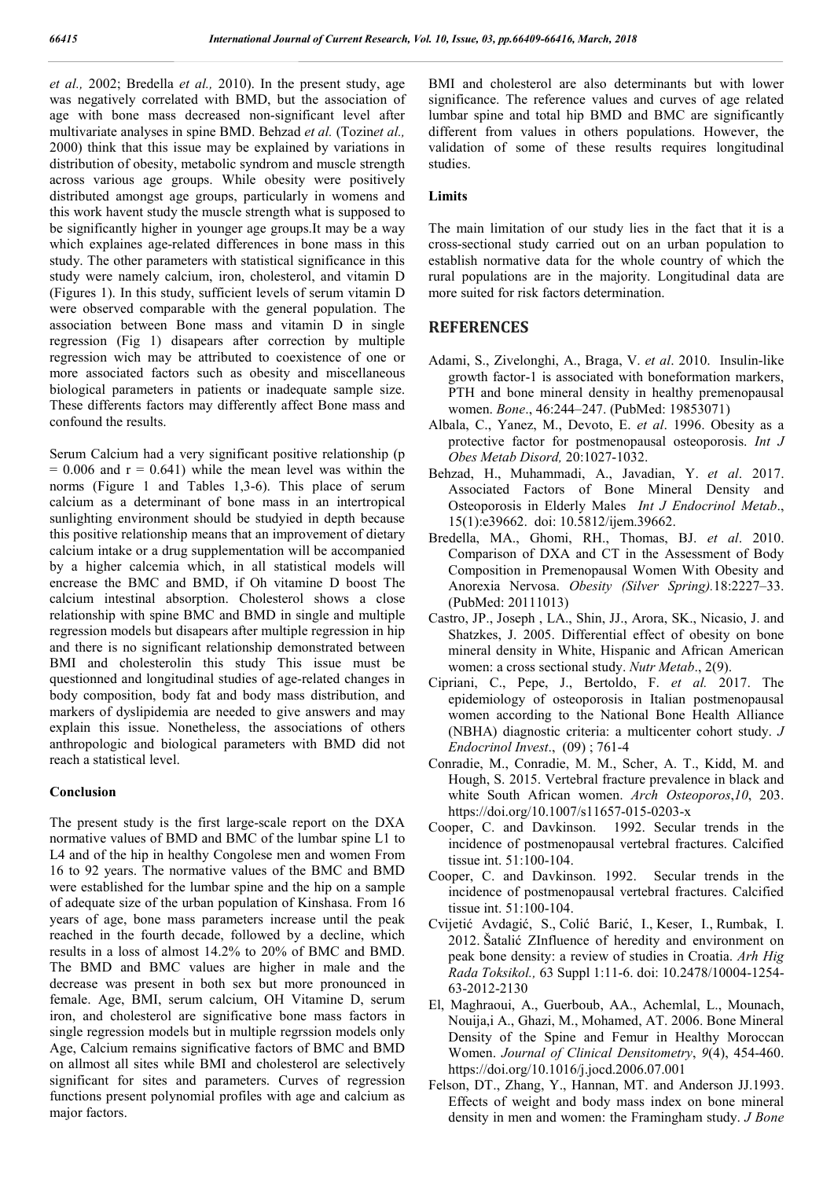*et al.,* 2002; Bredella *et al.,* 2010). In the present study, age was negatively correlated with BMD, but the association of age with bone mass decreased non-significant level after multivariate analyses in spine BMD. Behzad *et al.* (Tozin*et al.,*  2000) think that this issue may be explained by variations in distribution of obesity, metabolic syndrom and muscle strength across various age groups. While obesity were positively distributed amongst age groups, particularly in womens and this work havent study the muscle strength what is supposed to be significantly higher in younger age groups.It may be a way which explaines age-related differences in bone mass in this study. The other parameters with statistical significance in this study were namely calcium, iron, cholesterol, and vitamin D (Figures 1). In this study, sufficient levels of serum vitamin D were observed comparable with the general population. The association between Bone mass and vitamin D in single regression (Fig 1) disapears after correction by multiple regression wich may be attributed to coexistence of one or more associated factors such as obesity and miscellaneous biological parameters in patients or inadequate sample size. These differents factors may differently affect Bone mass and confound the results.

Serum Calcium had a very significant positive relationship (p  $= 0.006$  and  $r = 0.641$ ) while the mean level was within the norms (Figure 1 and Tables 1,3-6). This place of serum calcium as a determinant of bone mass in an intertropical sunlighting environment should be studyied in depth because this positive relationship means that an improvement of dietary calcium intake or a drug supplementation will be accompanied by a higher calcemia which, in all statistical models will encrease the BMC and BMD, if Oh vitamine D boost The calcium intestinal absorption. Cholesterol shows a close relationship with spine BMC and BMD in single and multiple regression models but disapears after multiple regression in hip and there is no significant relationship demonstrated between BMI and cholesterolin this study This issue must be questionned and longitudinal studies of age-related changes in body composition, body fat and body mass distribution, and markers of dyslipidemia are needed to give answers and may explain this issue. Nonetheless, the associations of others anthropologic and biological parameters with BMD did not reach a statistical level.

#### **Conclusion**

The present study is the first large-scale report on the DXA normative values of BMD and BMC of the lumbar spine L1 to L4 and of the hip in healthy Congolese men and women From 16 to 92 years. The normative values of the BMC and BMD were established for the lumbar spine and the hip on a sample of adequate size of the urban population of Kinshasa. From 16 years of age, bone mass parameters increase until the peak reached in the fourth decade, followed by a decline, which results in a loss of almost 14.2% to 20% of BMC and BMD. The BMD and BMC values are higher in male and the decrease was present in both sex but more pronounced in female. Age, BMI, serum calcium, OH Vitamine D, serum iron, and cholesterol are significative bone mass factors in single regression models but in multiple regrssion models only Age, Calcium remains significative factors of BMC and BMD on allmost all sites while BMI and cholesterol are selectively significant for sites and parameters. Curves of regression functions present polynomial profiles with age and calcium as major factors.

BMI and cholesterol are also determinants but with lower significance. The reference values and curves of age related lumbar spine and total hip BMD and BMC are significantly different from values in others populations. However, the validation of some of these results requires longitudinal studies.

#### **Limits**

The main limitation of our study lies in the fact that it is a cross-sectional study carried out on an urban population to establish normative data for the whole country of which the rural populations are in the majority. Longitudinal data are more suited for risk factors determination.

### **REFERENCES**

- Adami, S., Zivelonghi, A., Braga, V. *et al*. 2010. Insulin-like growth factor-1 is associated with boneformation markers, PTH and bone mineral density in healthy premenopausal women. *Bone*., 46:244–247. (PubMed: 19853071)
- Albala, C., Yanez, M., Devoto, E. *et al*. 1996. Obesity as a protective factor for postmenopausal osteoporosis. *Int J Obes Metab Disord,* 20:1027-1032.
- Behzad, H., Muhammadi, A., Javadian, Y. *et al*. 2017. Associated Factors of Bone Mineral Density and Osteoporosis in Elderly Males *Int J Endocrinol Metab*., 15(1):e39662. doi: 10.5812/ijem.39662.
- Bredella, MA., Ghomi, RH., Thomas, BJ. *et al*. 2010. Comparison of DXA and CT in the Assessment of Body Composition in Premenopausal Women With Obesity and Anorexia Nervosa. *Obesity (Silver Spring).*18:2227–33. (PubMed: 20111013)
- Castro, JP., Joseph , LA., Shin, JJ., Arora, SK., Nicasio, J. and Shatzkes, J. 2005. Differential effect of obesity on bone mineral density in White, Hispanic and African American women: a cross sectional study. *Nutr Metab*., 2(9).
- Cipriani, C., Pepe, J., Bertoldo, F. *et al.* 2017. The epidemiology of osteoporosis in Italian postmenopausal women according to the National Bone Health Alliance (NBHA) diagnostic criteria: a multicenter cohort study. *J Endocrinol Invest*., (09) ; 761-4
- Conradie, M., Conradie, M. M., Scher, A. T., Kidd, M. and Hough, S. 2015. Vertebral fracture prevalence in black and white South African women. *Arch Osteoporos*,*10*, 203. https://doi.org/10.1007/s11657-015-0203-x
- Cooper, C. and Davkinson. 1992. Secular trends in the incidence of postmenopausal vertebral fractures. Calcified tissue int. 51:100-104.
- Cooper, C. and Davkinson. 1992. Secular trends in the incidence of postmenopausal vertebral fractures. Calcified tissue int. 51:100-104.
- Cvijetić Avdagić, S., Colić Barić, I., Keser, I., Rumbak, I. 2012. Šatalić ZInfluence of heredity and environment on peak bone density: a review of studies in Croatia. *Arh Hig Rada Toksikol.,* 63 Suppl 1:11-6. doi: 10.2478/10004-1254- 63-2012-2130
- El, Maghraoui, A., Guerboub, AA., Achemlal, L., Mounach, Nouija,i A., Ghazi, M., Mohamed, AT. 2006. Bone Mineral Density of the Spine and Femur in Healthy Moroccan Women. *Journal of Clinical Densitometry*, *9*(4), 454-460. https://doi.org/10.1016/j.jocd.2006.07.001
- Felson, DT., Zhang, Y., Hannan, MT. and Anderson JJ.1993. Effects of weight and body mass index on bone mineral density in men and women: the Framingham study. *J Bone*